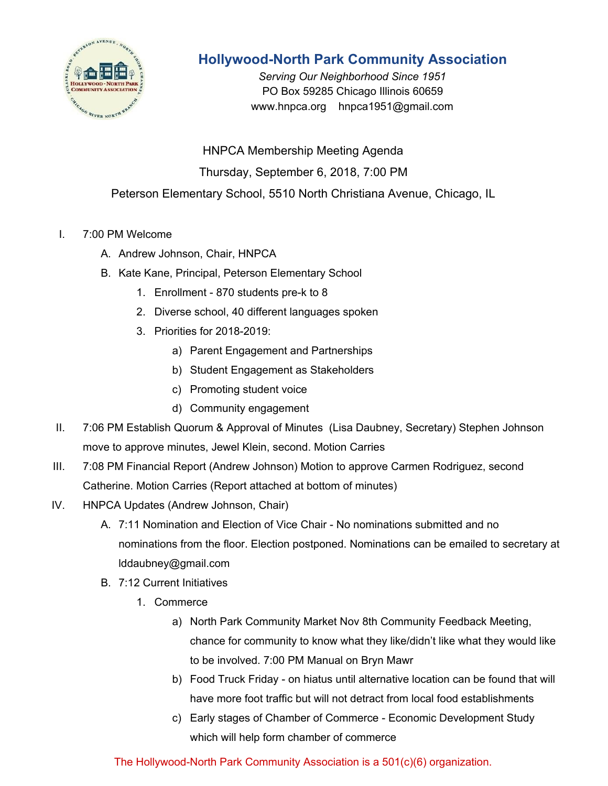

## **Hollywood-North Park Community Association**

*Serving Our Neighborhood Since 1951* PO Box 59285 Chicago Illinois 60659 www.hnpca.org hnpca1951@gmail.com

HNPCA Membership Meeting Agenda Thursday, September 6, 2018, 7:00 PM Peterson Elementary School, 5510 North Christiana Avenue, Chicago, IL

- I. 7:00 PM Welcome
	- A. Andrew Johnson, Chair, HNPCA
	- B. Kate Kane, Principal, Peterson Elementary School
		- 1. Enrollment 870 students pre-k to 8
		- 2. Diverse school, 40 different languages spoken
		- 3. Priorities for 2018-2019:
			- a) Parent Engagement and Partnerships
			- b) Student Engagement as Stakeholders
			- c) Promoting student voice
			- d) Community engagement
- II. 7:06 PM Establish Quorum & Approval of Minutes (Lisa Daubney, Secretary) Stephen Johnson move to approve minutes, Jewel Klein, second. Motion Carries
- III. 7:08 PM Financial Report (Andrew Johnson) Motion to approve Carmen Rodriguez, second Catherine. Motion Carries (Report attached at bottom of minutes)
- IV. HNPCA Updates (Andrew Johnson, Chair)
	- A. 7:11 Nomination and Election of Vice Chair No nominations submitted and no nominations from the floor. Election postponed. Nominations can be emailed to secretary at lddaubney@gmail.com
	- B. 7:12 Current Initiatives
		- 1. Commerce
			- a) North Park Community Market Nov 8th Community Feedback Meeting, chance for community to know what they like/didn't like what they would like to be involved. 7:00 PM Manual on Bryn Mawr
			- b) Food Truck Friday on hiatus until alternative location can be found that will have more foot traffic but will not detract from local food establishments
			- c) Early stages of Chamber of Commerce Economic Development Study which will help form chamber of commerce

The Hollywood-North Park Community Association is a 501(c)(6) organization.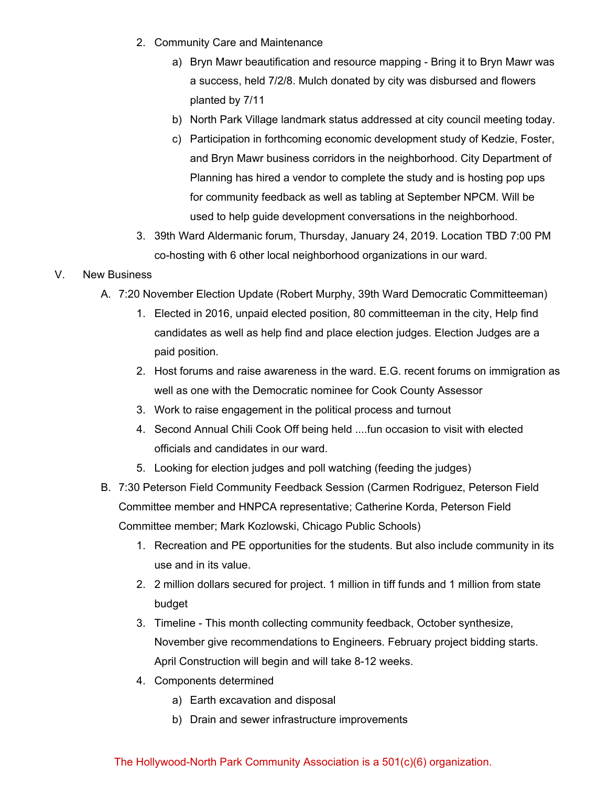- 2. Community Care and Maintenance
	- a) Bryn Mawr beautification and resource mapping Bring it to Bryn Mawr was a success, held 7/2/8. Mulch donated by city was disbursed and flowers planted by 7/11
	- b) North Park Village landmark status addressed at city council meeting today.
	- c) Participation in forthcoming economic development study of Kedzie, Foster, and Bryn Mawr business corridors in the neighborhood. City Department of Planning has hired a vendor to complete the study and is hosting pop ups for community feedback as well as tabling at September NPCM. Will be used to help guide development conversations in the neighborhood.
- 3. 39th Ward Aldermanic forum, Thursday, January 24, 2019. Location TBD 7:00 PM co-hosting with 6 other local neighborhood organizations in our ward.

## V. New Business

- A. 7:20 November Election Update (Robert Murphy, 39th Ward Democratic Committeeman)
	- 1. Elected in 2016, unpaid elected position, 80 committeeman in the city, Help find candidates as well as help find and place election judges. Election Judges are a paid position.
	- 2. Host forums and raise awareness in the ward. E.G. recent forums on immigration as well as one with the Democratic nominee for Cook County Assessor
	- 3. Work to raise engagement in the political process and turnout
	- 4. Second Annual Chili Cook Off being held ....fun occasion to visit with elected officials and candidates in our ward.
	- 5. Looking for election judges and poll watching (feeding the judges)
- B. 7:30 Peterson Field Community Feedback Session (Carmen Rodriguez, Peterson Field Committee member and HNPCA representative; Catherine Korda, Peterson Field Committee member; Mark Kozlowski, Chicago Public Schools)
	- 1. Recreation and PE opportunities for the students. But also include community in its use and in its value.
	- 2. 2 million dollars secured for project. 1 million in tiff funds and 1 million from state budget
	- 3. Timeline This month collecting community feedback, October synthesize, November give recommendations to Engineers. February project bidding starts. April Construction will begin and will take 8-12 weeks.
	- 4. Components determined
		- a) Earth excavation and disposal
		- b) Drain and sewer infrastructure improvements

## The Hollywood-North Park Community Association is a 501(c)(6) organization.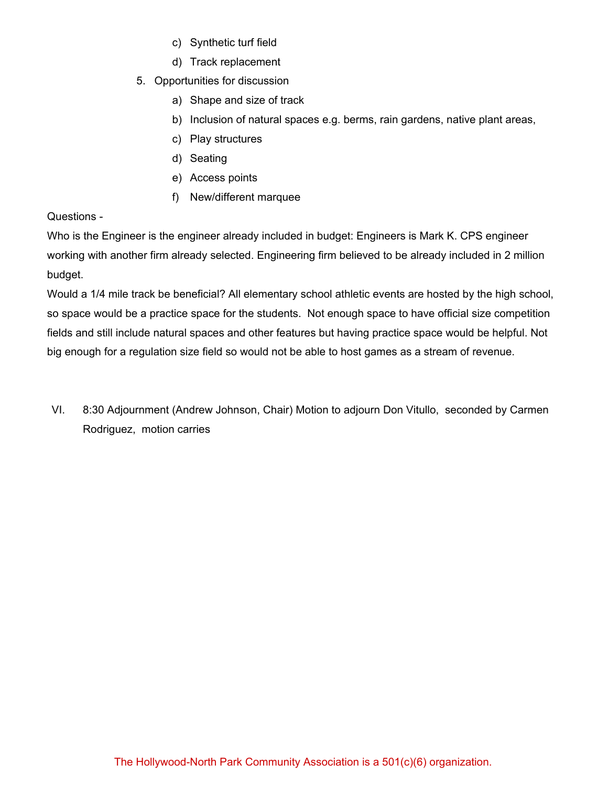- c) Synthetic turf field
- d) Track replacement
- 5. Opportunities for discussion
	- a) Shape and size of track
	- b) Inclusion of natural spaces e.g. berms, rain gardens, native plant areas,
	- c) Play structures
	- d) Seating
	- e) Access points
	- f) New/different marquee

## Questions -

Who is the Engineer is the engineer already included in budget: Engineers is Mark K. CPS engineer working with another firm already selected. Engineering firm believed to be already included in 2 million budget.

Would a 1/4 mile track be beneficial? All elementary school athletic events are hosted by the high school, so space would be a practice space for the students. Not enough space to have official size competition fields and still include natural spaces and other features but having practice space would be helpful. Not big enough for a regulation size field so would not be able to host games as a stream of revenue.

VI. 8:30 Adjournment (Andrew Johnson, Chair) Motion to adjourn Don Vitullo, seconded by Carmen Rodriguez, motion carries